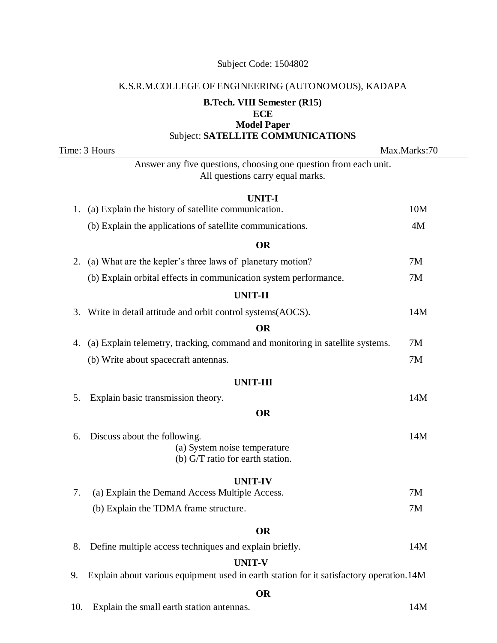#### K.S.R.M.COLLEGE OF ENGINEERING (AUTONOMOUS), KADAPA

## **B.Tech. VIII Semester (R15) ECE Model Paper**  Subject: **SATELLITE COMMUNICATIONS**

Time: 3 Hours Max.Marks:70 Answer any five questions, choosing one question from each unit. All questions carry equal marks. **UNIT-I** 1. (a) Explain the history of satellite communication. 10M (b) Explain the applications of satellite communications. 4M **OR** 2. (a) What are the kepler's three laws of planetary motion? 7M (b) Explain orbital effects in communication system performance. 7M **UR**<br>f planeta<br>ication sy<br>**UNIT-II** 3. Write in detail attitude and orbit control systems(AOCS). 14M **OR** 4. (a) Explain telemetry, tracking, command and monitoring in satellite systems. 7M (b) Write about spacecraft antennas. 7M **UNIT-III** 5. Explain basic transmission theory. 14M **OR** 6. Discuss about the following. 14M (a) System noise temperature (b) G/T ratio for earth station. **u** temperation<br>**UNIT-IV**<br>**UNIT-IV**<br>tiple Acce 7. (a) Explain the Demand Access Multiple Access. 7M (b) Explain the TDMA frame structure. 7M **OR** 8. Define multiple access techniques and explain briefly. 14M **UNIT-V** 9. Explain about various equipment used in earth station for it satisfactory operation.14M **OR**

10. Explain the small earth station antennas. 14M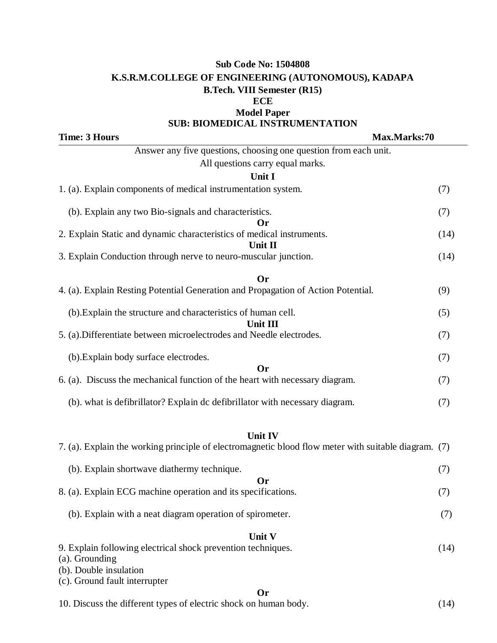# **Sub Code No: 1504808 K.S.R.M.COLLEGE OF ENGINEERING (AUTONOMOUS), KADAPA B.Tech. VIII Semester (R15) ECE Model Paper**

## **SUB: BIOMEDICAL INSTRUMENTATION**

**Time: 3 Hours Max.Marks:70** Answer any five questions, choosing one question from each unit. All questions carry equal marks. **Unit I** 1. (a). Explain components of medical instrumentation system. (7) (b). Explain any two Bio-signals and characteristics. (7) **Or** 2. Explain Static and dynamic characteristics of medical instruments. (14) **Unit II** 3. Explain Conduction through nerve to neuro-muscular junction. (14) **Or** 4. (a). Explain Resting Potential Generation and Propagation of Action Potential. (9) (b).Explain the structure and characteristics of human cell. (5) **Unit III** 5. (a).Differentiate between microelectrodes and Needle electrodes. (7) (b).Explain body surface electrodes. (7) **Or** 6. (a). Discuss the mechanical function of the heart with necessary diagram. (7) (b). what is defibrillator? Explain dc defibrillator with necessary diagram. (7) **Unit IV** 7. (a). Explain the working principle of electromagnetic blood flow meter with suitable diagram. (7) (b). Explain shortwave diathermy technique. (7) **Or** 8. (a). Explain ECG machine operation and its specifications. (7) (b). Explain with a neat diagram operation of spirometer. (7) **Unit V** 9. Explain following electrical shock prevention techniques. (14) (a). Grounding (b). Double insulation (c). Ground fault interrupter

#### **Or**

10. Discuss the different types of electric shock on human body. (14)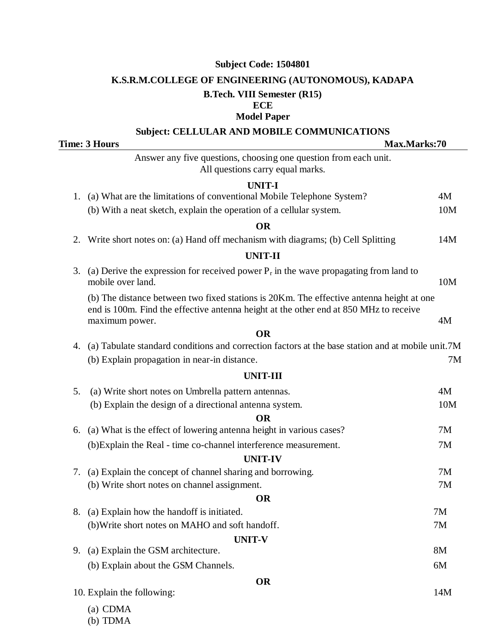## **K.S.R.M.COLLEGE OF ENGINEERING (AUTONOMOUS), KADAPA**

## **B.Tech. VIII Semester (R15)**

### **ECE Model Paper**

### **Subject: CELLULAR AND MOBILE COMMUNICATIONS**

**Time: 3 Hours Max.Marks:70** Answer any five questions, choosing one question from each unit. All questions carry equal marks. **UNIT-I** 1. (a) What are the limitations of conventional Mobile Telephone System? 4M (b) With a neat sketch, explain the operation of a cellular system. 10M<br> **OR**<br>
Write short notes on: (a) Hand off mechanism with diagrams; (b) Cell Splitting 14M<br> **UNIT-II**<br>
(a) Derive the expression for received power P i **OR** 2. Write short notes on: (a) Hand off mechanism with diagrams; (b) Cell Splitting 14M 3. (a) Derive the expression for received power  $P_r$  in the wave propagating from land to mobile over land. 10M (b) The distance between two fixed stations is 20Km. The effective antenna height at one end is 100m. Find the effective antenna height at the other end at 850 MHz to receive maximum power. 4M **OR** 4. (a) Tabulate standard conditions and correction factors at the base station and at mobile unit.7M (b) Explain propagation in near-in distance. 7M **UNIT-III** 5. (a) Write short notes on Umbrella pattern antennas. 4M (b) Explain the design of a directional antenna system. 10M **OR** 6. (a) What is the effect of lowering antenna height in various cases? 7M (b)Explain the Real - time co-channel interference measurement. 7M **OR**<br>
6. (a) What is the effect of lowering antenna height i<br>
(b)Explain the Real - time co-channel interference<br> **UNIT-IV**<br>
7. (a) Explain the concept of channel sharing and both 7. (a) Explain the concept of channel sharing and borrowing. 7M (b) Write short notes on channel assignment. 7M **OR** 8. (a) Explain how the handoff is initiated. 7M (b)Write short notes on MAHO and soft handoff. 7M **UNIT-V** 9. (a) Explain the GSM architecture. 8M (b) Explain about the GSM Channels. 6M **OR** 10. Explain the following: 14M (a) CDMA

(b) TDMA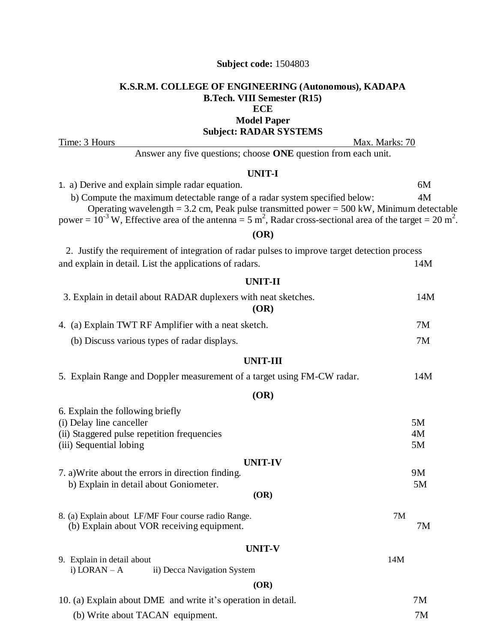## **K.S.R.M. COLLEGE OF ENGINEERING (Autonomous), KADAPA B.Tech. VIII Semester (R15) ECE Model Paper**

**Subject: RADAR SYSTEMS**

Time: 3 Hours Max. Marks: 70

Answer any five questions; choose **ONE** question from each unit.

## **UNIT-I**

| 1. a) Derive and explain simple radar equation.                                                                                        | 6M |
|----------------------------------------------------------------------------------------------------------------------------------------|----|
| b) Compute the maximum detectable range of a radar system specified below:                                                             | 4M |
| Operating wavelength = $3.2$ cm, Peak pulse transmitted power = $500$ kW, Minimum detectable                                           |    |
| power = $10^{-3}$ W, Effective area of the antenna = 5 m <sup>2</sup> , Radar cross-sectional area of the target = 20 m <sup>2</sup> . |    |
|                                                                                                                                        |    |

### **(OR)**

| 2. Justify the requirement of integration of radar pulses to improve target detection process |     |
|-----------------------------------------------------------------------------------------------|-----|
| and explain in detail. List the applications of radars.                                       | 14M |

#### **UNIT-I I**

| UNIT-II                                                                |     |
|------------------------------------------------------------------------|-----|
| 3. Explain in detail about RADAR duplexers with neat sketches.<br>(OR) | 14M |
| 4. (a) Explain TWT RF Amplifier with a neat sketch.                    | 7M  |
| (b) Discuss various types of radar displays.                           | 7M  |

#### **UNIT-III**

|  | 5. Explain Range and Doppler measurement of a target using FM-CW radar. | 14M |
|--|-------------------------------------------------------------------------|-----|
|  |                                                                         |     |

#### **(OR)**

| 6. Explain the following briefly                              |     |    |
|---------------------------------------------------------------|-----|----|
| (i) Delay line canceller                                      |     | 5M |
| (ii) Staggered pulse repetition frequencies                   |     | 4M |
| (iii) Sequential lobing                                       |     | 5M |
| <b>UNIT-IV</b>                                                |     |    |
| 7. a) Write about the errors in direction finding.            |     | 9M |
| b) Explain in detail about Goniometer.                        |     | 5M |
| (OR)                                                          |     |    |
| 8. (a) Explain about LF/MF Four course radio Range.           | 7M  |    |
| (b) Explain about VOR receiving equipment.                    |     | 7Μ |
| <b>UNIT-V</b>                                                 |     |    |
| 9. Explain in detail about                                    | 14M |    |
| i) $LORAN - A$<br>ii) Decca Navigation System                 |     |    |
| (OR)                                                          |     |    |
| 10. (a) Explain about DME and write it's operation in detail. |     | 7M |
| $(h)$ Write about $TACAN$ equipment                           |     | 7M |

(b) Write about TACAN equipment. 7M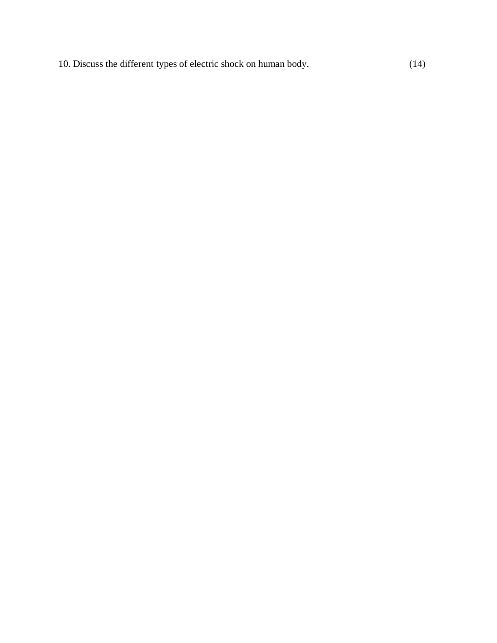10. Discuss the different types of electric shock on human body. (14)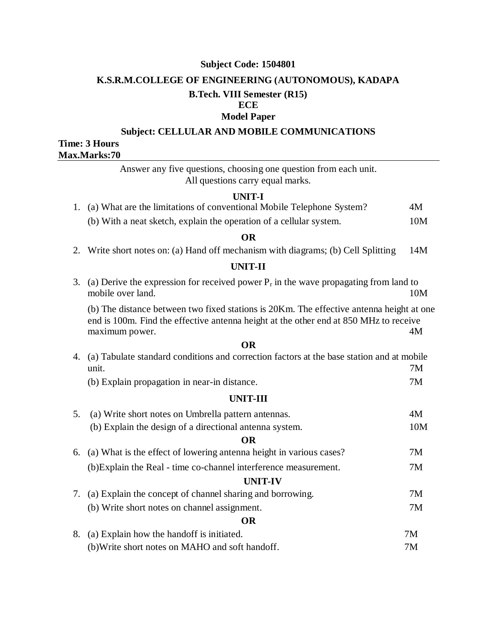## **K.S.R.M.COLLEGE OF ENGINEERING (AUTONOMOUS), KADAPA**

## **B.Tech. VIII Semester (R15)**

### **ECE Model Paper**

# **Subject: CELLULAR AND MOBILE COMMUNICATIONS**

## **Time: 3 Hours Max.Marks:70**

Answer any five questions, choosing one question from each unit. All questions carry equal marks.

### **UNIT-I**

| (b) With a neat sketch, explain the operation of a cellular system.      | 10M |
|--------------------------------------------------------------------------|-----|
| 1. (a) What are the limitations of conventional Mobile Telephone System? | 4M  |

#### **OR**

2. Write short notes on: (a) Hand off mechanism with diagrams; (b) Cell Splitting 14M

## **UNIT-II**

3. (a) Derive the expression for received power  $P_r$  in the wave propagating from land to mobile over land. 10M

(b) The distance between two fixed stations is 20Km. The effective antenna height at one end is 100m. Find the effective antenna height at the other end at 850 MHz to receive maximum power. 4M

### **OR**

| 4. (a) Tabulate standard conditions and correction factors at the base station and at mobile |    |
|----------------------------------------------------------------------------------------------|----|
| unit.                                                                                        | 7Μ |

(b) Explain propagation in near-in distance. 7M

#### **UNIT-III**

| (a) Write short notes on Umbrella pattern antennas.<br>5.                 | 4M  |
|---------------------------------------------------------------------------|-----|
| (b) Explain the design of a directional antenna system.                   | 10M |
| OR                                                                        |     |
| (a) What is the effect of lowering antenna height in various cases?<br>6. | 7M  |
| (b) Explain the Real - time co-channel interference measurement.          | 7M  |
| <b>UNIT-IV</b>                                                            |     |
| (a) Explain the concept of channel sharing and borrowing.                 | 7M  |
| (b) Write short notes on channel assignment.                              | 7M  |
| <b>OR</b>                                                                 |     |
| (a) Explain how the hand of is initiated.<br>8.                           | 7M  |
|                                                                           |     |

| (b) Write short notes on MAHO and soft handoff. | 7M |
|-------------------------------------------------|----|
|                                                 |    |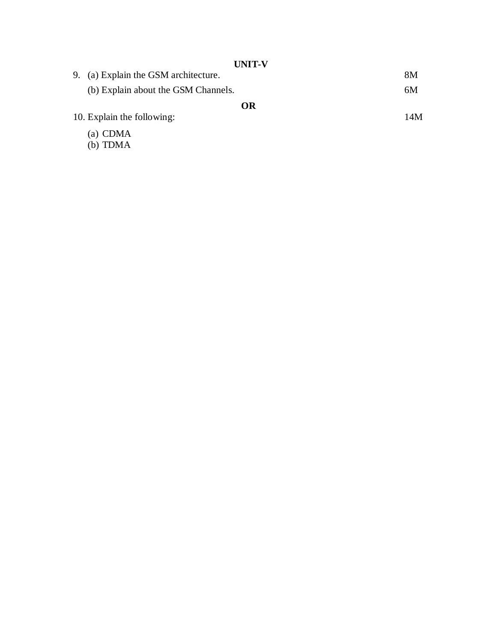| <b>UIMA-V</b>                           |    |
|-----------------------------------------|----|
| (a) Explain the GSM architecture.<br>9. | 8M |
| (b) Explain about the GSM Channels.     | 6M |
| <b>OR</b>                               |    |
| 10. Explain the following:<br>14M       |    |
| (a) CDMA                                |    |
| (b) TDMA                                |    |

#### **UNIT - V**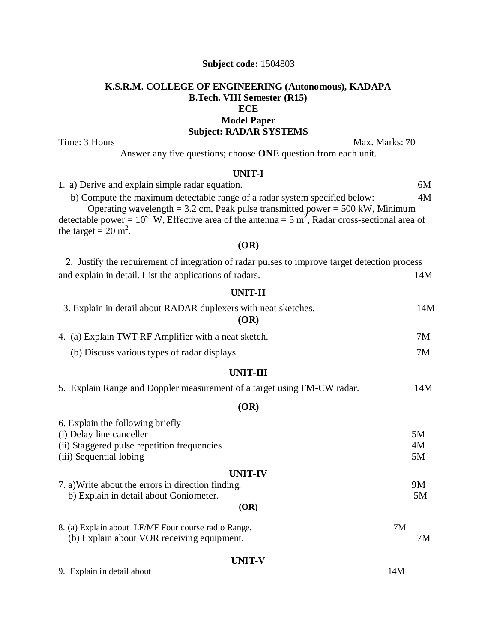## **K.S.R.M. COLLEGE OF ENGINEERING (Autonomous), KADAPA B.Tech. VIII Semester (R15) ECE Model Paper Subject: RADAR SYSTEMS**

Time: 3 Hours Max. Marks: 70

Answer any five questions; choose **ONE** question from each unit.

# **UNIT-I**

| 1. a) Derive and explain simple radar equation.                                                                                                                 | 6M  |
|-----------------------------------------------------------------------------------------------------------------------------------------------------------------|-----|
| b) Compute the maximum detectable range of a radar system specified below:<br>Operating wavelength = $3.2$ cm, Peak pulse transmitted power = $500$ kW, Minimum | 4M  |
| detectable power = $10^{-3}$ W, Effective area of the antenna = 5 m <sup>2</sup> , Radar cross-sectional area of                                                |     |
| the target = $20 \text{ m}^2$ .                                                                                                                                 |     |
| (OR)                                                                                                                                                            |     |
| 2. Justify the requirement of integration of radar pulses to improve target detection process                                                                   |     |
| and explain in detail. List the applications of radars.                                                                                                         | 14M |
| <b>UNIT-II</b>                                                                                                                                                  |     |
| 3. Explain in detail about RADAR duplexers with neat sketches.<br>(OR)                                                                                          | 14M |
| 4. (a) Explain TWT RF Amplifier with a neat sketch.                                                                                                             | 7M  |
| (b) Discuss various types of radar displays.                                                                                                                    | 7M  |
| <b>UNIT-III</b>                                                                                                                                                 |     |
| 5. Explain Range and Doppler measurement of a target using FM-CW radar.                                                                                         | 14M |
| (OR)                                                                                                                                                            |     |
| 6. Explain the following briefly                                                                                                                                |     |
| (i) Delay line canceller                                                                                                                                        | 5M  |
| (ii) Staggered pulse repetition frequencies                                                                                                                     | 4M  |
| (iii) Sequential lobing                                                                                                                                         | 5M  |
| <b>UNIT-IV</b>                                                                                                                                                  |     |
| 7. a) Write about the errors in direction finding.                                                                                                              | 9M  |
| b) Explain in detail about Goniometer.                                                                                                                          | 5M  |
| (OR)                                                                                                                                                            |     |
| 8. (a) Explain about LF/MF Four course radio Range.<br>7M<br>(b) Explain about VOR receiving equipment.                                                         | 7M  |
|                                                                                                                                                                 |     |
| <b>UNIT-V</b>                                                                                                                                                   |     |
| 14M<br>9. Explain in detail about                                                                                                                               |     |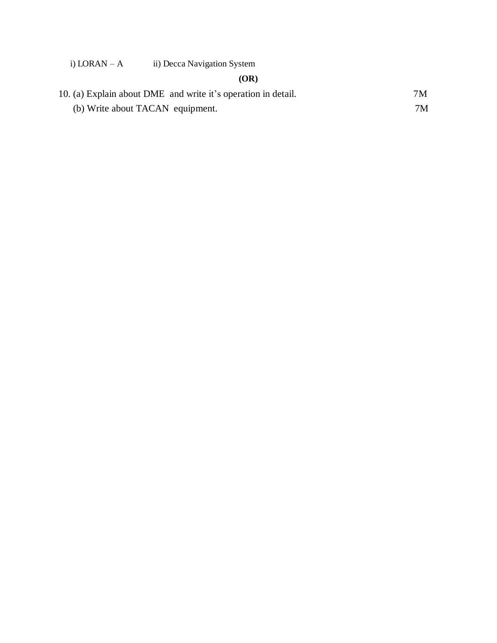# i) LORAN – A ii) Decca Navigation System

# **(OR)**

| 10. (a) Explain about DME and write it's operation in detail. | 7M |
|---------------------------------------------------------------|----|
| (b) Write about TACAN equipment.                              | 7M |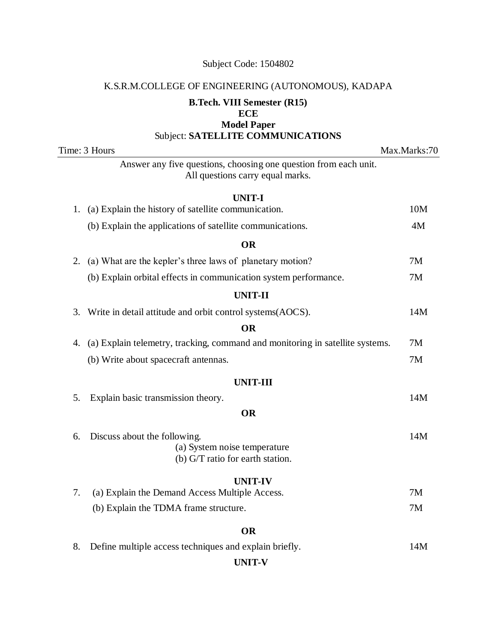# K.S.R.M.COLLEGE OF ENGINEERING (AUTONOMOUS), KADAPA

# **B.Tech. VIII Semester (R15)**

# **ECE**

**Model Paper**  Subject: **SATELLITE COMMUNICATIONS**

| $\sup$ $\mathbb{C}$ . SATELLITE COMMUNICATIONS                                                         |              |
|--------------------------------------------------------------------------------------------------------|--------------|
| Time: 3 Hours                                                                                          | Max.Marks:70 |
| Answer any five questions, choosing one question from each unit.<br>All questions carry equal marks.   |              |
| <b>UNIT-I</b>                                                                                          |              |
| (a) Explain the history of satellite communication.<br>1.                                              | 10M          |
| (b) Explain the applications of satellite communications.                                              | 4M           |
| <b>OR</b>                                                                                              |              |
| (a) What are the kepler's three laws of planetary motion?<br>2.                                        | 7M           |
| (b) Explain orbital effects in communication system performance.                                       | 7M           |
| <b>UNIT-II</b>                                                                                         |              |
| Write in detail attitude and orbit control systems (AOCS).<br>3.                                       | 14M          |
| <b>OR</b>                                                                                              |              |
| (a) Explain telemetry, tracking, command and monitoring in satellite systems.<br>4.                    | 7M           |
| (b) Write about spacecraft antennas.                                                                   | 7M           |
| <b>UNIT-III</b>                                                                                        |              |
| Explain basic transmission theory.<br>5.                                                               | 14M          |
| <b>OR</b>                                                                                              |              |
| Discuss about the following.<br>6.<br>(a) System noise temperature<br>(b) G/T ratio for earth station. | 14M          |
| <b>UNIT-IV</b>                                                                                         |              |
| 7.<br>(a) Explain the Demand Access Multiple Access.                                                   | 7M           |
| (b) Explain the TDMA frame structure.                                                                  | 7M           |

## **OR**

| 8. Define multiple access techniques and explain briefly. | 14M |
|-----------------------------------------------------------|-----|
|-----------------------------------------------------------|-----|

## **UNIT-V**